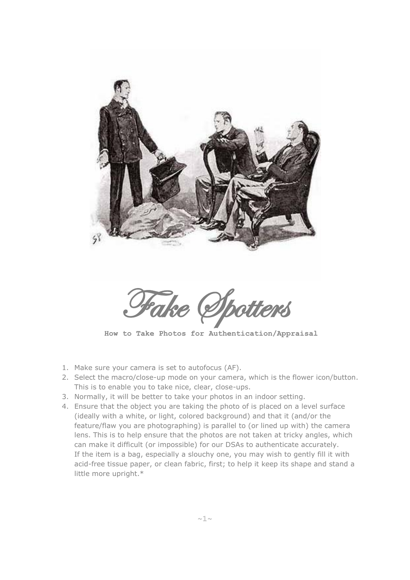

**How to Take Photos for Authentication/Appraisal**

- 1. Make sure your camera is set to autofocus (AF).
- 2. Select the macro/close-up mode on your camera, which is the flower icon/button. This is to enable you to take nice, clear, close-ups.
- 3. Normally, it will be better to take your photos in an indoor setting.
- 4. Ensure that the object you are taking the photo of is placed on a level surface (ideally with a white, or light, colored background) and that it (and/or the feature/flaw you are photographing) is parallel to (or lined up with) the camera lens. This is to help ensure that the photos are not taken at tricky angles, which can make it difficult (or impossible) for our DSAs to authenticate accurately. If the item is a bag, especially a slouchy one, you may wish to gently fill it with acid-free tissue paper, or clean fabric, first; to help it keep its shape and stand a little more upright.\*